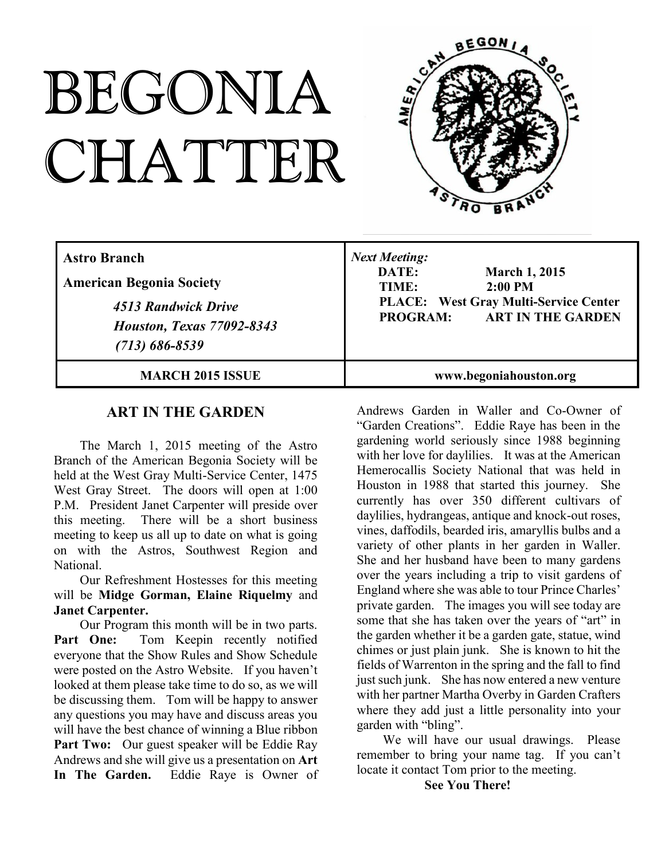# BEGONIA CHATTER



| <b>Astro Branch</b><br><b>American Begonia Society</b><br>4513 Randwick Drive<br><b>Houston, Texas 77092-8343</b><br>$(713) 686 - 8539$ | <b>Next Meeting:</b><br>DATE:<br><b>March 1, 2015</b><br>TIME:<br>$2:00$ PM<br><b>PLACE:</b> West Gray Multi-Service Center<br><b>ART IN THE GARDEN</b><br><b>PROGRAM:</b> |
|-----------------------------------------------------------------------------------------------------------------------------------------|----------------------------------------------------------------------------------------------------------------------------------------------------------------------------|
| <b>MARCH 2015 ISSUE</b>                                                                                                                 | www.begoniahouston.org                                                                                                                                                     |

## **ART IN THE GARDEN**

The March 1, 2015 meeting of the Astro Branch of the American Begonia Society will be held at the West Gray Multi-Service Center, 1475 West Gray Street. The doors will open at 1:00 P.M. President Janet Carpenter will preside over this meeting. There will be a short business meeting to keep us all up to date on what is going on with the Astros, Southwest Region and National.

Our Refreshment Hostesses for this meeting will be **Midge Gorman, Elaine Riquelmy** and **Janet Carpenter.**

Our Program this month will be in two parts. Part One: Tom Keepin recently notified everyone that the Show Rules and Show Schedule were posted on the Astro Website. If you haven't looked at them please take time to do so, as we will be discussing them. Tom will be happy to answer any questions you may have and discuss areas you will have the best chance of winning a Blue ribbon Part Two: Our guest speaker will be Eddie Ray Andrews and she will give us a presentation on **Art In The Garden.** Eddie Raye is Owner of

Andrews Garden in Waller and Co-Owner of "Garden Creations". Eddie Raye has been in the gardening world seriously since 1988 beginning with her love for daylilies. It was at the American Hemerocallis Society National that was held in Houston in 1988 that started this journey. She currently has over 350 different cultivars of daylilies, hydrangeas, antique and knock-out roses, vines, daffodils, bearded iris, amaryllis bulbs and a variety of other plants in her garden in Waller. She and her husband have been to many gardens over the years including a trip to visit gardens of England where she was able to tour Prince Charles' private garden. The images you will see today are some that she has taken over the years of "art" in the garden whether it be a garden gate, statue, wind chimes or just plain junk. She is known to hit the fields of Warrenton in the spring and the fall to find just such junk. She has now entered a new venture with her partner Martha Overby in Garden Crafters where they add just a little personality into your garden with "bling".

We will have our usual drawings. Please remember to bring your name tag. If you can't locate it contact Tom prior to the meeting.

**See You There!**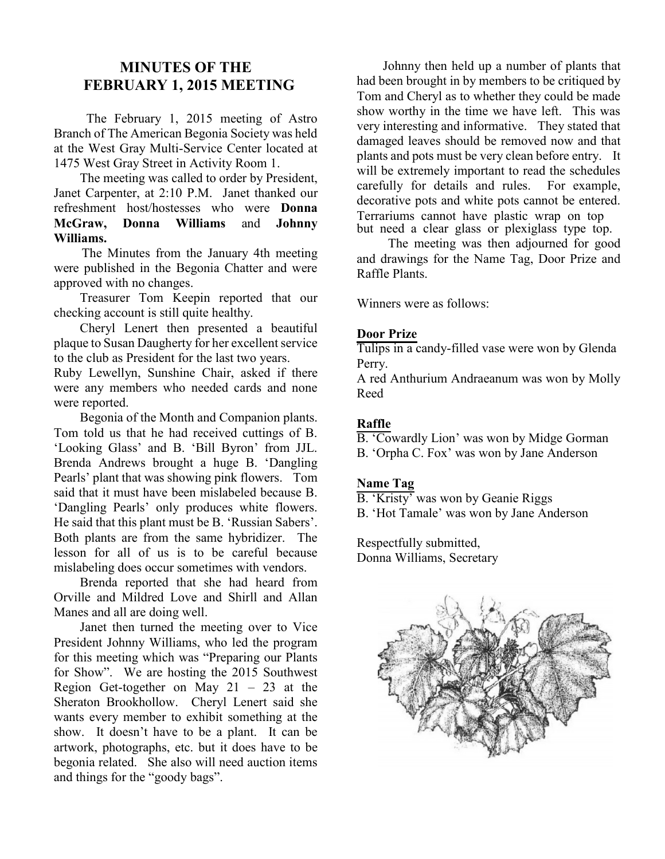## **MINUTES OF THE FEBRUARY 1, 2015 MEETING**

The February 1, 2015 meeting of Astro Branch of The American Begonia Society was held at the West Gray Multi-Service Center located at 1475 West Gray Street in Activity Room 1.

The meeting was called to order by President, Janet Carpenter, at 2:10 P.M. Janet thanked our refreshment host/hostesses who were **Donna McGraw, Donna Williams** and **Johnny Williams.**

The Minutes from the January 4th meeting were published in the Begonia Chatter and were approved with no changes.

Treasurer Tom Keepin reported that our checking account is still quite healthy.

Cheryl Lenert then presented a beautiful plaque to Susan Daugherty for her excellent service to the club as President for the last two years.

Ruby Lewellyn, Sunshine Chair, asked if there were any members who needed cards and none were reported.

Begonia of the Month and Companion plants. Tom told us that he had received cuttings of B. 'Looking Glass' and B. 'Bill Byron' from JJL. Brenda Andrews brought a huge B. 'Dangling Pearls' plant that was showing pink flowers. Tom said that it must have been mislabeled because B. 'Dangling Pearls' only produces white flowers. He said that this plant must be B. 'Russian Sabers'. Both plants are from the same hybridizer. The lesson for all of us is to be careful because mislabeling does occur sometimes with vendors.

Brenda reported that she had heard from Orville and Mildred Love and Shirll and Allan Manes and all are doing well.

Janet then turned the meeting over to Vice President Johnny Williams, who led the program for this meeting which was "Preparing our Plants for Show". We are hosting the 2015 Southwest Region Get-together on May  $21 - 23$  at the Sheraton Brookhollow. Cheryl Lenert said she wants every member to exhibit something at the show. It doesn't have to be a plant. It can be artwork, photographs, etc. but it does have to be begonia related. She also will need auction items and things for the "goody bags".

Johnny then held up a number of plants that had been brought in by members to be critiqued by Tom and Cheryl as to whether they could be made show worthy in the time we have left. This was very interesting and informative. They stated that damaged leaves should be removed now and that plants and pots must be very clean before entry. It will be extremely important to read the schedules carefully for details and rules. For example, decorative pots and white pots cannot be entered. Terrariums cannot have plastic wrap on top but need a clear glass or plexiglass type top.

The meeting was then adjourned for good and drawings for the Name Tag, Door Prize and Raffle Plants.

Winners were as follows:

#### **Door Prize**

Tulips in a candy-filled vase were won by Glenda Perry.

A red Anthurium Andraeanum was won by Molly Reed

## **Raffle**

B. 'Cowardly Lion' was won by Midge Gorman

B. 'Orpha C. Fox' was won by Jane Anderson

#### **Name Tag**

B. 'Kristy' was won by Geanie Riggs

B. 'Hot Tamale' was won by Jane Anderson

Respectfully submitted, Donna Williams, Secretary

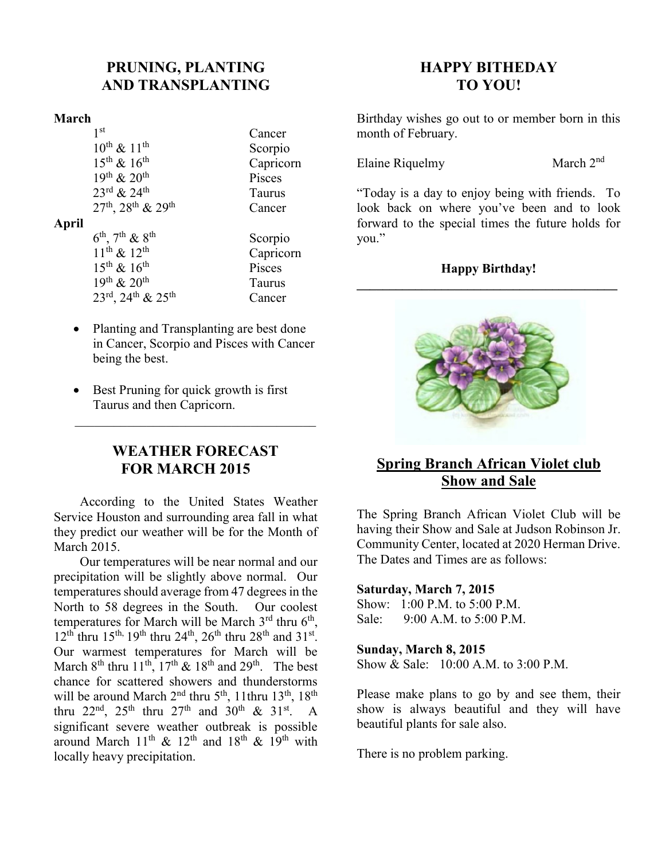# **PRUNING, PLANTING AND TRANSPLANTING**

## **March**

|       | 1 <sup>st</sup>                                        | Cancer        |
|-------|--------------------------------------------------------|---------------|
|       | $10^{th}$ & $11^{th}$                                  | Scorpio       |
|       | $15^{th}$ & $16^{th}$                                  | Caprico       |
|       | $19th$ & $20th$                                        | Pisces        |
|       | $23^{\rm rd}$ & $24^{\rm th}$                          | <b>Taurus</b> |
|       | $27^{th}$ , $28^{th}$ & $29^{th}$                      | Cancer        |
| April |                                                        |               |
|       | $6^{th}$ , $7^{th}$ & $8^{th}$                         | Scorpio       |
|       | $11^{th}$ & $12^{th}$                                  | Caprico       |
|       | $15^{th}$ & $16^{th}$                                  | Pisces        |
|       | 19th & 20th                                            | <b>Taurus</b> |
|       | $23^{\text{rd}}$ , $24^{\text{th}}$ & $25^{\text{th}}$ | Cancer        |

nricorn nricorn

- · Planting and Transplanting are best done in Cancer, Scorpio and Pisces with Cancer being the best.
- Best Pruning for quick growth is first Taurus and then Capricorn.

## **WEATHER FORECAST FOR MARCH 2015**

\_\_\_\_\_\_\_\_\_\_\_\_\_\_\_\_\_\_\_\_\_\_\_\_\_\_\_\_\_\_\_\_\_\_\_\_\_

According to the United States Weather Service Houston and surrounding area fall in what they predict our weather will be for the Month of March 2015.

Our temperatures will be near normal and our precipitation will be slightly above normal. Our temperatures should average from 47 degrees in the North to 58 degrees in the South. Our coolest temperatures for March will be March 3<sup>rd</sup> thru 6<sup>th</sup>,  $12^{th}$  thru  $15^{th}$ ,  $19^{th}$  thru  $24^{th}$ ,  $26^{th}$  thru  $28^{th}$  and  $31^{st}$ . Our warmest temperatures for March will be March  $8^{th}$  thru  $11^{th}$ ,  $17^{th}$  &  $18^{th}$  and  $29^{th}$ . The best chance for scattered showers and thunderstorms will be around March 2<sup>nd</sup> thru 5<sup>th</sup>, 11thru 13<sup>th</sup>, 18<sup>th</sup> thru 22<sup>nd</sup>, 25<sup>th</sup> thru 27<sup>th</sup> and 30<sup>th</sup> & 31<sup>st</sup>. A significant severe weather outbreak is possible around March 11<sup>th</sup> & 12<sup>th</sup> and 18<sup>th</sup> & 19<sup>th</sup> with locally heavy precipitation.

# **HAPPY BITHEDAY TO YOU!**

Birthday wishes go out to or member born in this month of February.

Elaine Riquelmy March 2<sup>nd</sup>

"Today is a day to enjoy being with friends. To look back on where you've been and to look forward to the special times the future holds for you."

## **Happy Birthday!**



## **Spring Branch African Violet club Show and Sale**

The Spring Branch African Violet Club will be having their Show and Sale at Judson Robinson Jr. Community Center, located at 2020 Herman Drive. The Dates and Times are as follows:

## **Saturday, March 7, 2015**

Show: 1:00 P.M. to 5:00 P.M. Sale:  $9.00 \text{ A} \text{ M}$  to  $5.00 \text{ P} \text{ M}$ .

#### **Sunday, March 8, 2015**

Show & Sale: 10:00 A.M. to 3:00 P.M.

Please make plans to go by and see them, their show is always beautiful and they will have beautiful plants for sale also.

There is no problem parking.